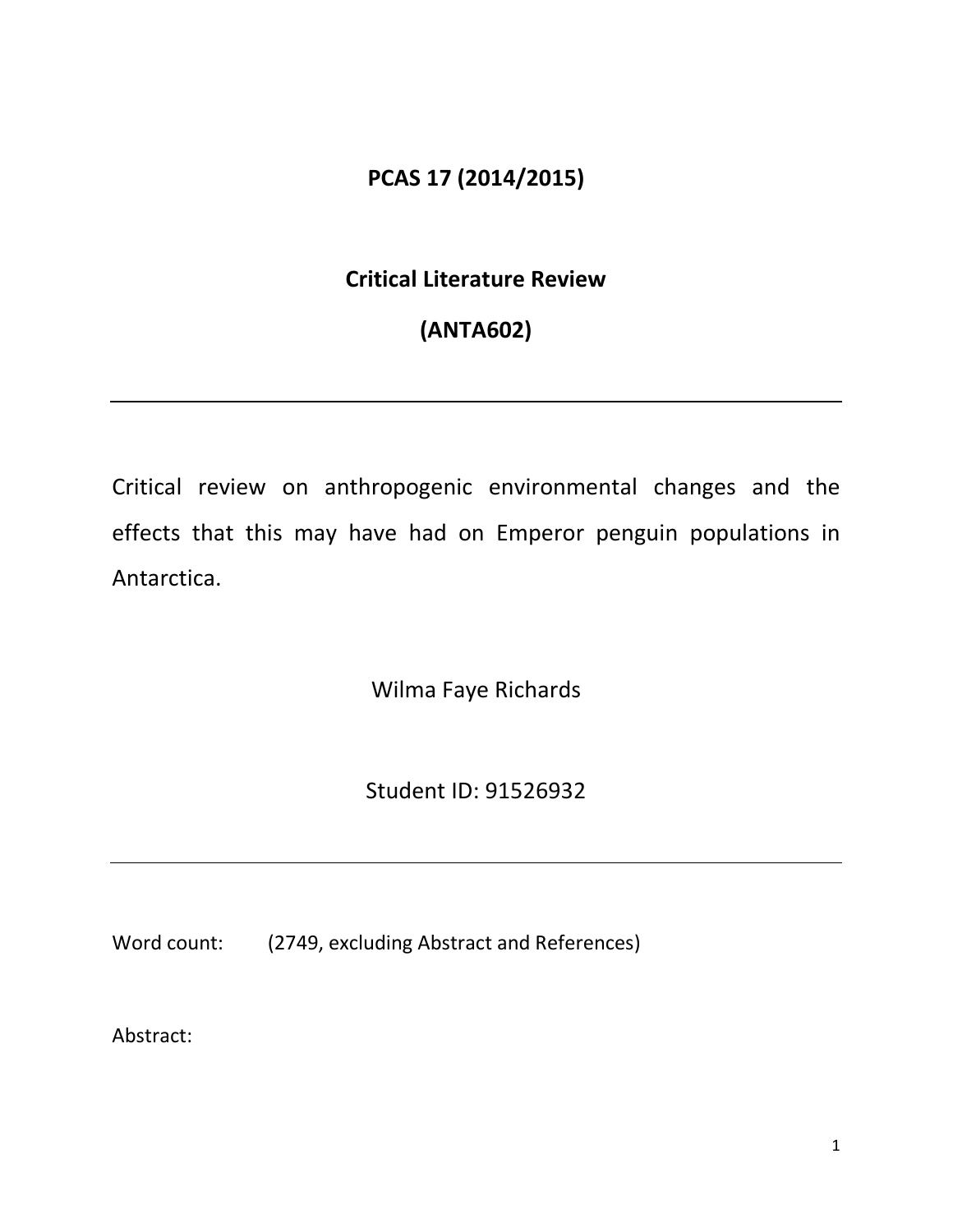# **PCAS 17 (2014/2015)**

# **Critical Literature Review**

# **(ANTA602)**

Critical review on anthropogenic environmental changes and the effects that this may have had on Emperor penguin populations in Antarctica.

Wilma Faye Richards

Student ID: 91526932

Word count: (2749, excluding Abstract and References)

Abstract: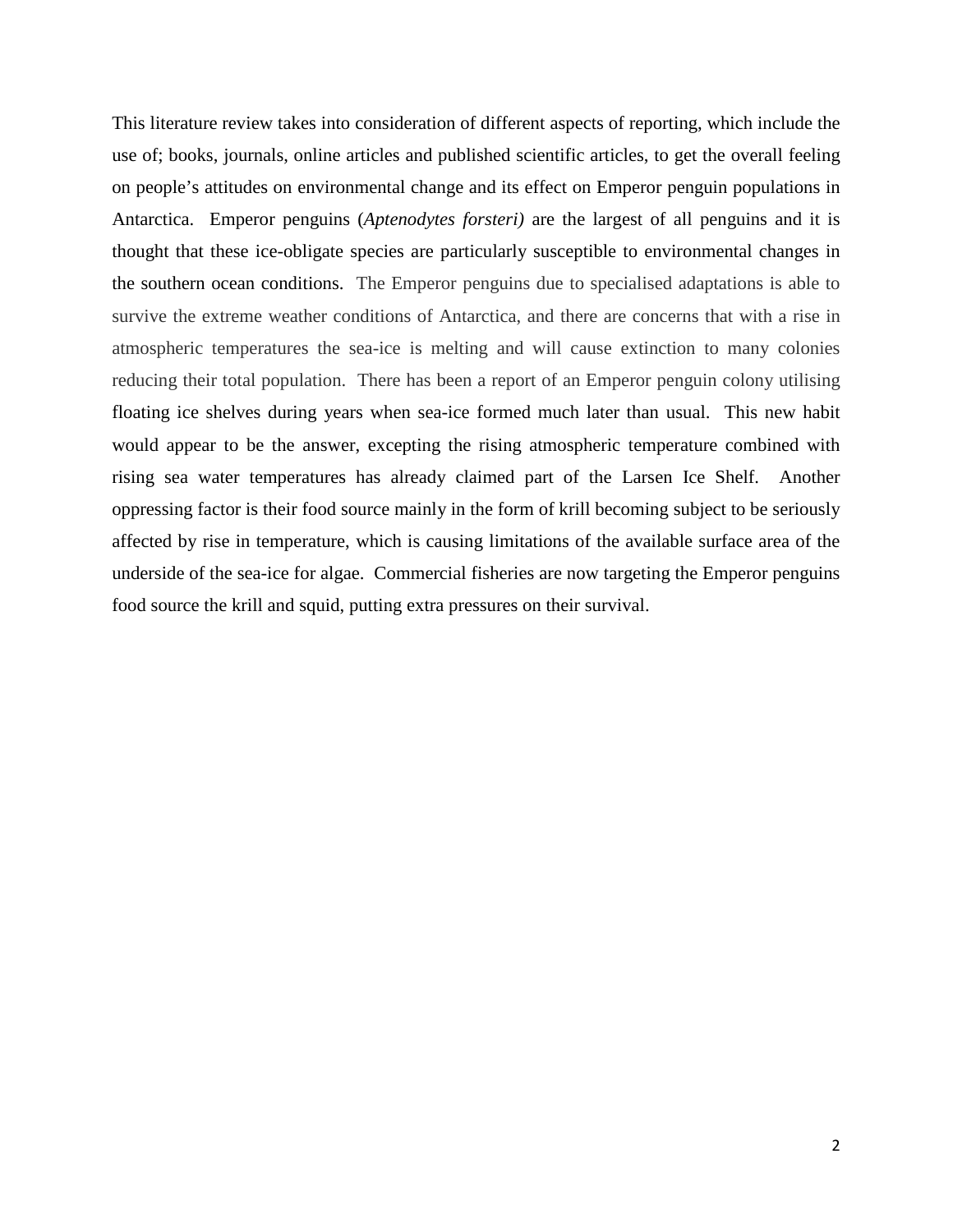This literature review takes into consideration of different aspects of reporting, which include the use of; books, journals, online articles and published scientific articles, to get the overall feeling on people's attitudes on environmental change and its effect on Emperor penguin populations in Antarctica. Emperor penguins (*Aptenodytes forsteri)* are the largest of all penguins and it is thought that these ice-obligate species are particularly susceptible to environmental changes in the southern ocean conditions. The Emperor penguins due to specialised adaptations is able to survive the extreme weather conditions of Antarctica, and there are concerns that with a rise in atmospheric temperatures the sea-ice is melting and will cause extinction to many colonies reducing their total population. There has been a report of an Emperor penguin colony utilising floating ice shelves during years when sea-ice formed much later than usual. This new habit would appear to be the answer, excepting the rising atmospheric temperature combined with rising sea water temperatures has already claimed part of the Larsen Ice Shelf. Another oppressing factor is their food source mainly in the form of krill becoming subject to be seriously affected by rise in temperature, which is causing limitations of the available surface area of the underside of the sea-ice for algae. Commercial fisheries are now targeting the Emperor penguins food source the krill and squid, putting extra pressures on their survival.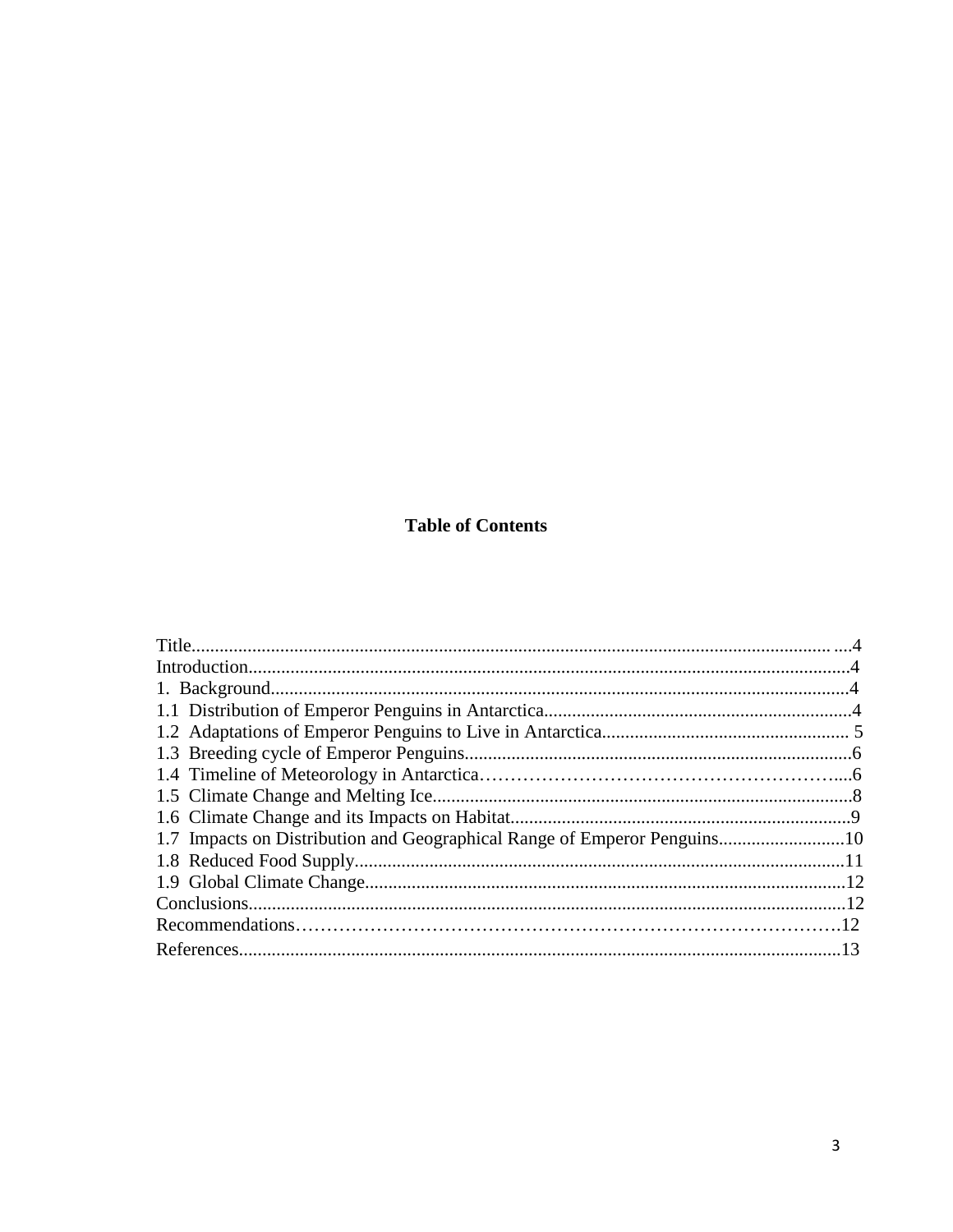### **Table of Contents**

| 1.7 Impacts on Distribution and Geographical Range of Emperor Penguins10 |  |
|--------------------------------------------------------------------------|--|
|                                                                          |  |
|                                                                          |  |
|                                                                          |  |
|                                                                          |  |
|                                                                          |  |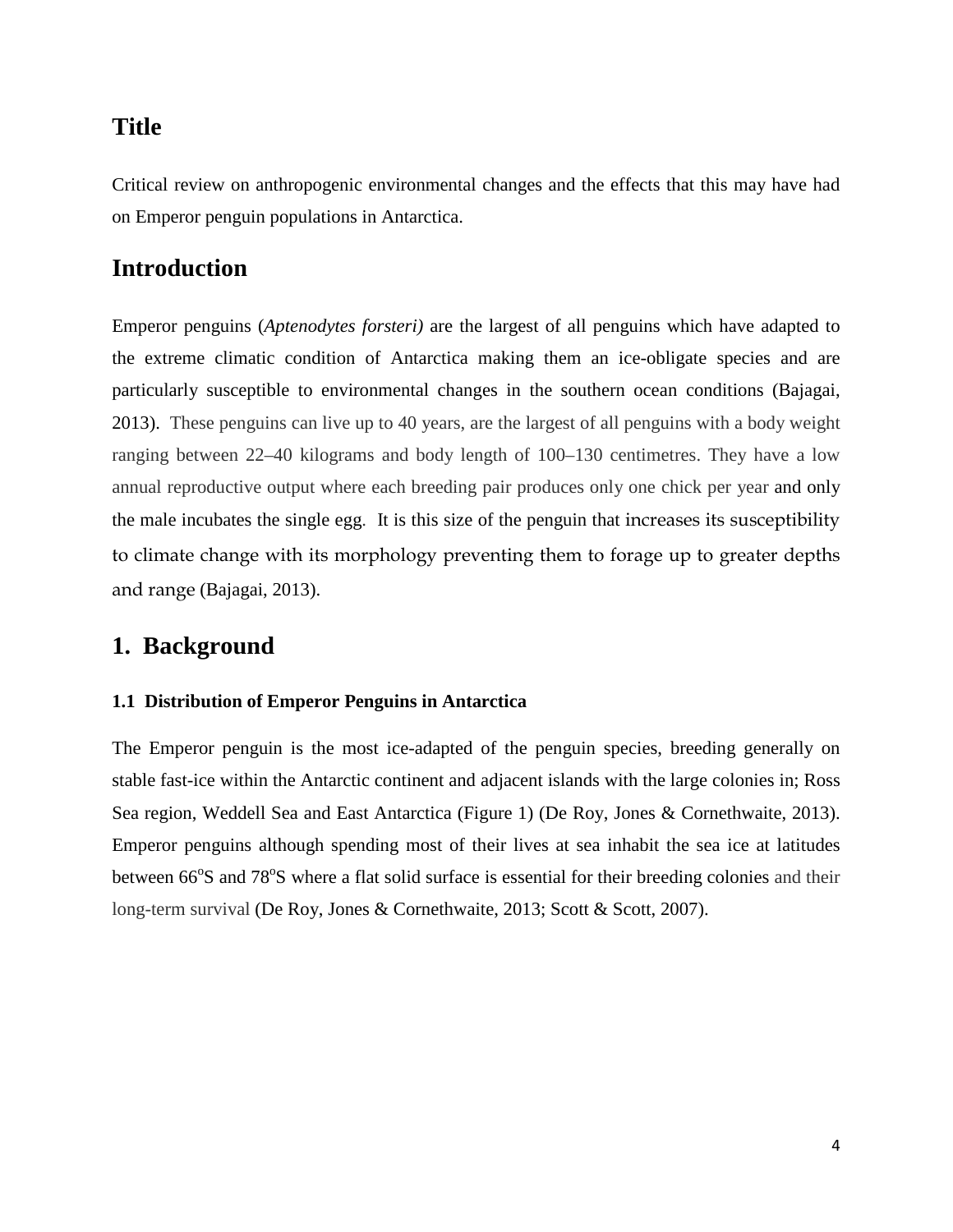## **Title**

Critical review on anthropogenic environmental changes and the effects that this may have had on Emperor penguin populations in Antarctica.

## **Introduction**

Emperor penguins (*Aptenodytes forsteri)* are the largest of all penguins which have adapted to the extreme climatic condition of Antarctica making them an ice-obligate species and are particularly susceptible to environmental changes in the southern ocean conditions (Bajagai, 2013). These penguins can live up to 40 years, are the largest of all penguins with a body weight ranging between 22–40 kilograms and body length of 100–130 centimetres. They have a low annual reproductive output where each breeding pair produces only one chick per year and only the male incubates the single egg. It is this size of the penguin that increases its susceptibility to climate change with its morphology preventing them to forage up to greater depths and range (Bajagai, 2013).

## **1. Background**

#### **1.1 Distribution of Emperor Penguins in Antarctica**

The Emperor penguin is the most ice-adapted of the penguin species, breeding generally on stable fast-ice within the Antarctic continent and adjacent islands with the large colonies in; Ross Sea region, Weddell Sea and East Antarctica (Figure 1) (De Roy, Jones & Cornethwaite, 2013). Emperor penguins although spending most of their lives at sea inhabit the sea ice at latitudes between 66°S and 78°S where a flat solid surface is essential for their breeding colonies and their long-term survival (De Roy, Jones & Cornethwaite, 2013; Scott & Scott, 2007).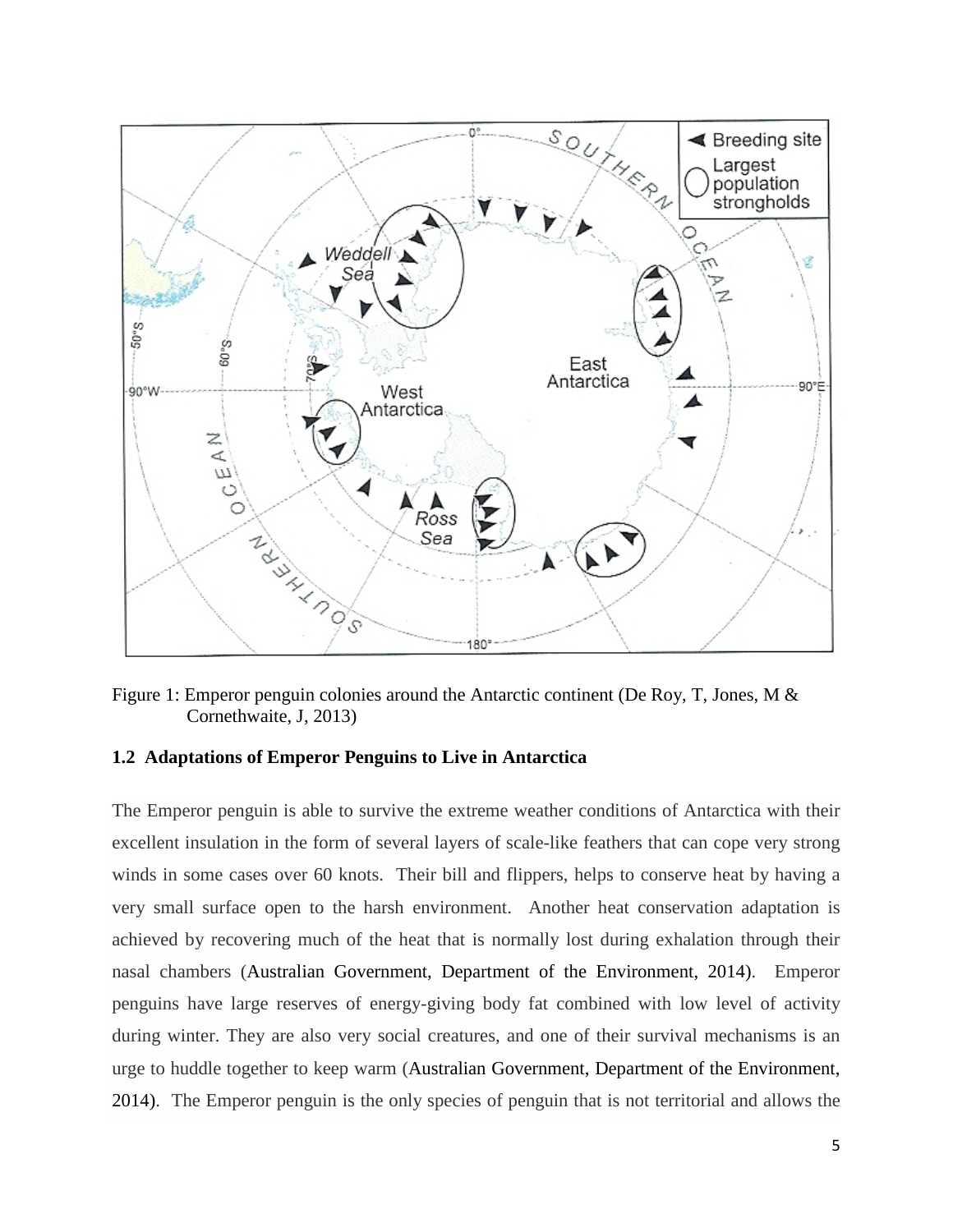

Figure 1: Emperor penguin colonies around the Antarctic continent (De Roy, T, Jones, M & Cornethwaite, J, 2013)

#### **1.2 Adaptations of Emperor Penguins to Live in Antarctica**

The Emperor penguin is able to survive the extreme weather conditions of Antarctica with their excellent insulation in the form of several layers of scale-like feathers that can cope very strong winds in some cases over 60 knots. Their bill and flippers, helps to conserve heat by having a very small surface open to the harsh environment. Another heat conservation adaptation is achieved by recovering much of the heat that is normally lost during exhalation through their nasal chambers (Australian Government, Department of the Environment, 2014). Emperor penguins have large reserves of energy-giving body fat combined with low level of activity during winter. They are also very social creatures, and one of their survival mechanisms is an urge to huddle together to keep warm (Australian Government, Department of the Environment, 2014). The Emperor penguin is the only species of penguin that is not territorial and allows the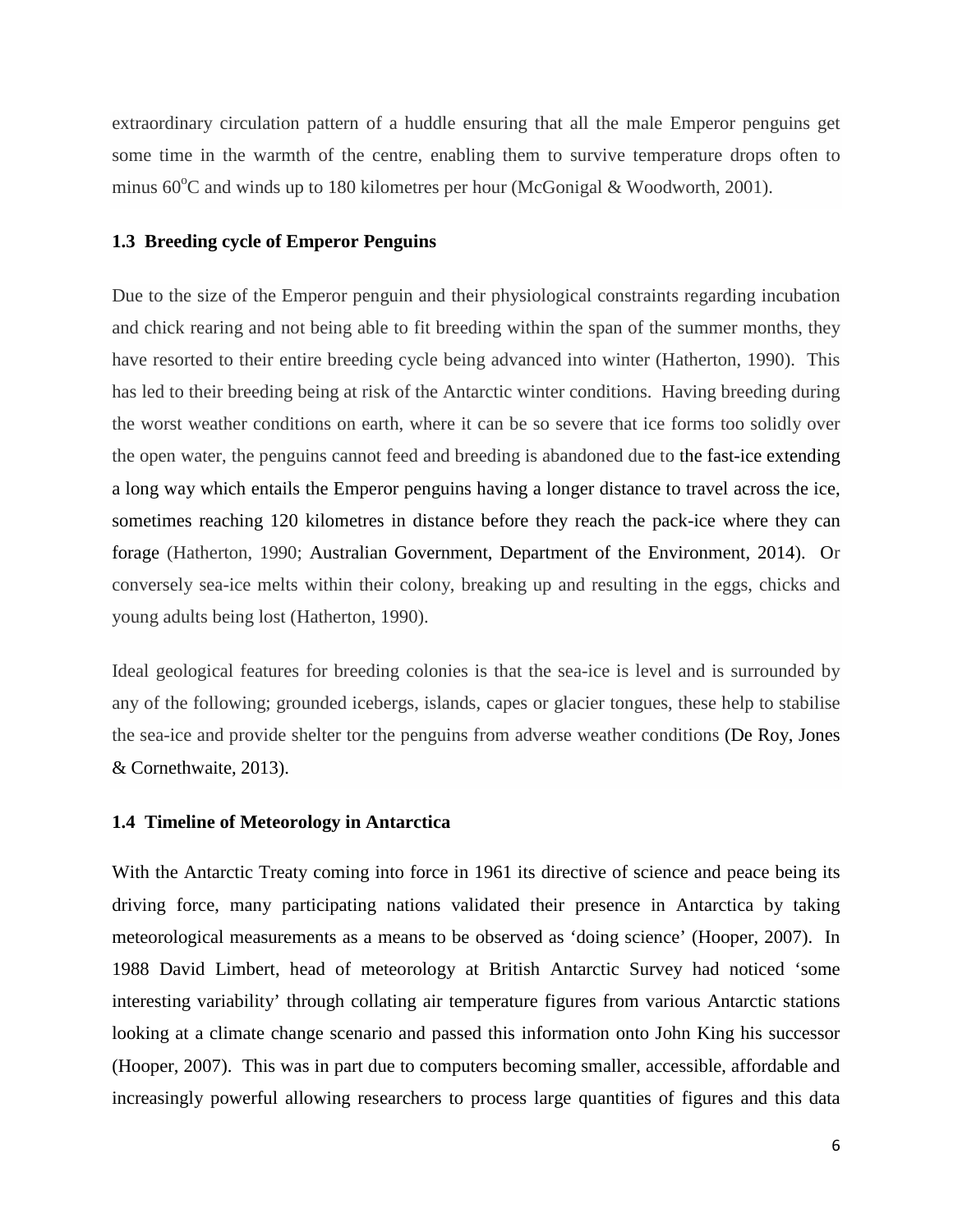extraordinary circulation pattern of a huddle ensuring that all the male Emperor penguins get some time in the warmth of the centre, enabling them to survive temperature drops often to minus  $60^{\circ}$ C and winds up to 180 kilometres per hour (McGonigal & Woodworth, 2001).

#### **1.3 Breeding cycle of Emperor Penguins**

Due to the size of the Emperor penguin and their physiological constraints regarding incubation and chick rearing and not being able to fit breeding within the span of the summer months, they have resorted to their entire breeding cycle being advanced into winter (Hatherton, 1990). This has led to their breeding being at risk of the Antarctic winter conditions. Having breeding during the worst weather conditions on earth, where it can be so severe that ice forms too solidly over the open water, the penguins cannot feed and breeding is abandoned due to the fast-ice extending a long way which entails the Emperor penguins having a longer distance to travel across the ice, sometimes reaching 120 kilometres in distance before they reach the pack-ice where they can forage (Hatherton, 1990; Australian Government, Department of the Environment, 2014). Or conversely sea-ice melts within their colony, breaking up and resulting in the eggs, chicks and young adults being lost (Hatherton, 1990).

Ideal geological features for breeding colonies is that the sea-ice is level and is surrounded by any of the following; grounded icebergs, islands, capes or glacier tongues, these help to stabilise the sea-ice and provide shelter tor the penguins from adverse weather conditions (De Roy, Jones & Cornethwaite, 2013).

#### **1.4 Timeline of Meteorology in Antarctica**

With the Antarctic Treaty coming into force in 1961 its directive of science and peace being its driving force, many participating nations validated their presence in Antarctica by taking meteorological measurements as a means to be observed as 'doing science' (Hooper, 2007). In 1988 David Limbert, head of meteorology at British Antarctic Survey had noticed 'some interesting variability' through collating air temperature figures from various Antarctic stations looking at a climate change scenario and passed this information onto John King his successor (Hooper, 2007). This was in part due to computers becoming smaller, accessible, affordable and increasingly powerful allowing researchers to process large quantities of figures and this data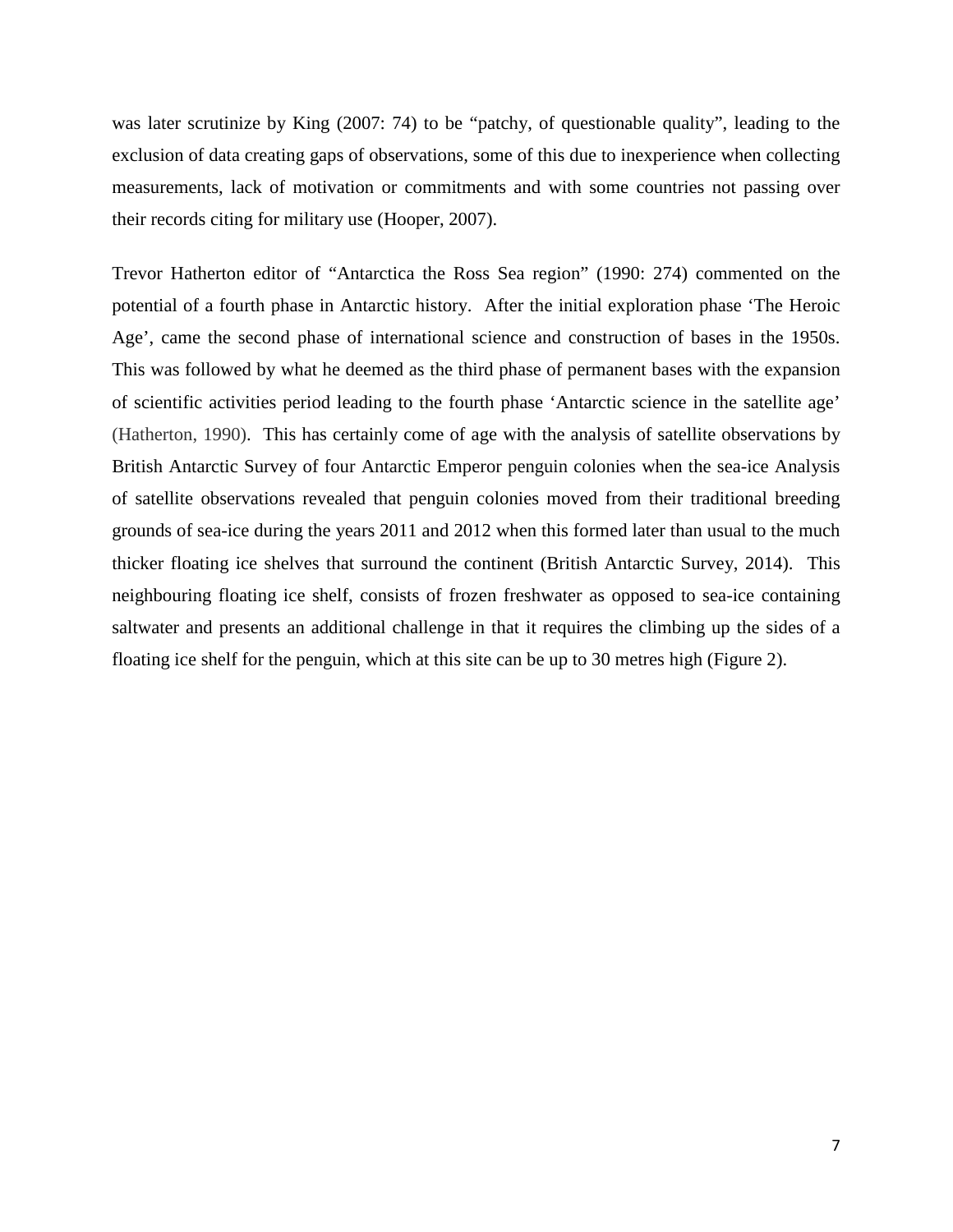was later scrutinize by King (2007: 74) to be "patchy, of questionable quality", leading to the exclusion of data creating gaps of observations, some of this due to inexperience when collecting measurements, lack of motivation or commitments and with some countries not passing over their records citing for military use (Hooper, 2007).

Trevor Hatherton editor of "Antarctica the Ross Sea region" (1990: 274) commented on the potential of a fourth phase in Antarctic history. After the initial exploration phase 'The Heroic Age', came the second phase of international science and construction of bases in the 1950s. This was followed by what he deemed as the third phase of permanent bases with the expansion of scientific activities period leading to the fourth phase 'Antarctic science in the satellite age' (Hatherton, 1990). This has certainly come of age with the analysis of satellite observations by British Antarctic Survey of four Antarctic Emperor penguin colonies when the sea-ice Analysis of satellite observations revealed that penguin colonies moved from their traditional breeding grounds of sea-ice during the years 2011 and 2012 when this formed later than usual to the much thicker floating ice shelves that surround the continent (British Antarctic Survey, 2014). This neighbouring floating ice shelf, consists of frozen freshwater as opposed to sea-ice containing saltwater and presents an additional challenge in that it requires the climbing up the sides of a floating ice shelf for the penguin, which at this site can be up to 30 metres high (Figure 2).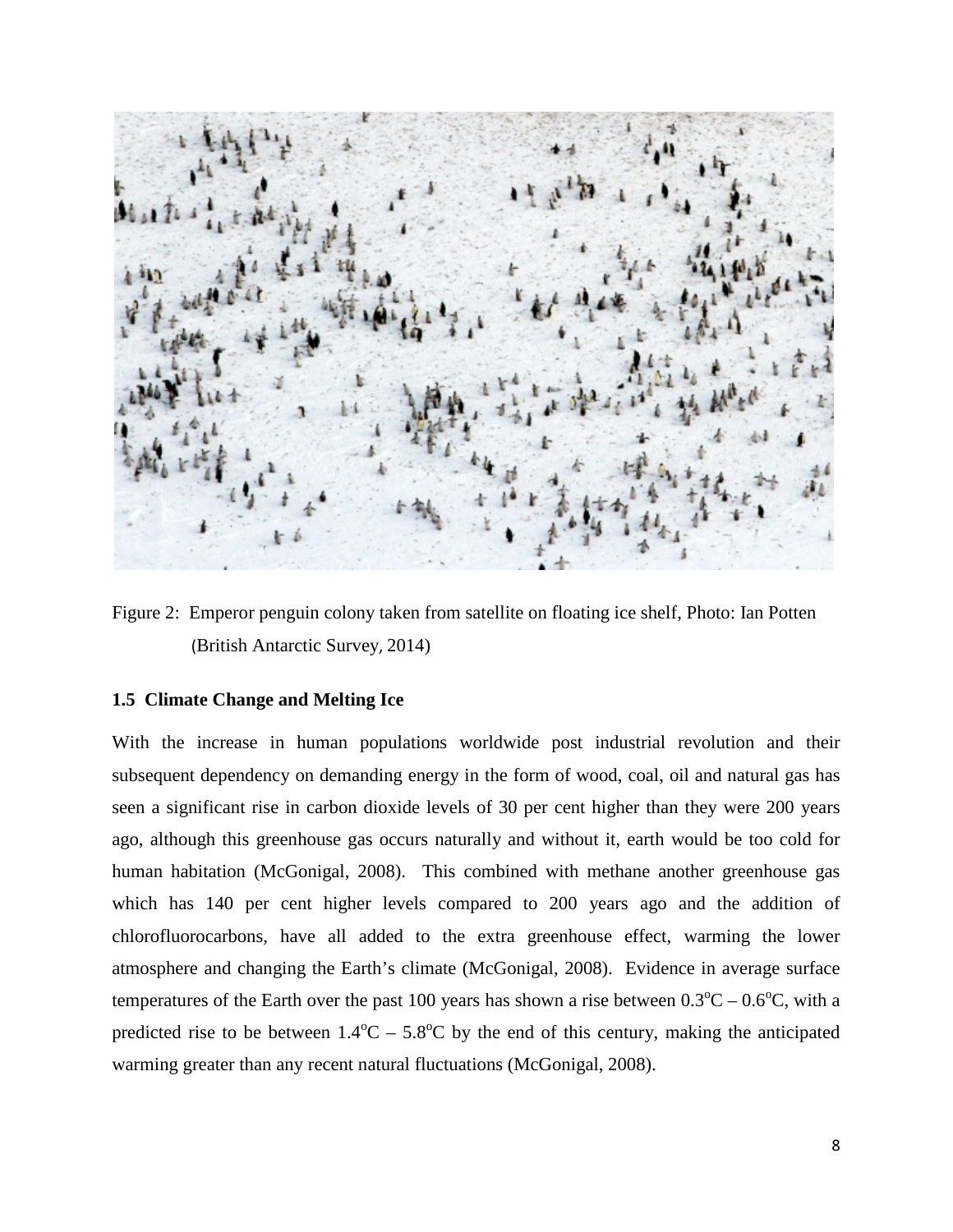

Figure 2: Emperor penguin colony taken from satellite on floating ice shelf, Photo: Ian Potten (British Antarctic Survey, 2014)

#### **1.5 Climate Change and Melting Ice**

With the increase in human populations worldwide post industrial revolution and their subsequent dependency on demanding energy in the form of wood, coal, oil and natural gas has seen a significant rise in carbon dioxide levels of 30 per cent higher than they were 200 years ago, although this greenhouse gas occurs naturally and without it, earth would be too cold for human habitation (McGonigal, 2008). This combined with methane another greenhouse gas which has 140 per cent higher levels compared to 200 years ago and the addition of chlorofluorocarbons, have all added to the extra greenhouse effect, warming the lower atmosphere and changing the Earth's climate (McGonigal, 2008). Evidence in average surface temperatures of the Earth over the past 100 years has shown a rise between  $0.3^{\circ}C - 0.6^{\circ}C$ , with a predicted rise to be between  $1.4^{\circ}\text{C} - 5.8^{\circ}\text{C}$  by the end of this century, making the anticipated warming greater than any recent natural fluctuations (McGonigal, 2008).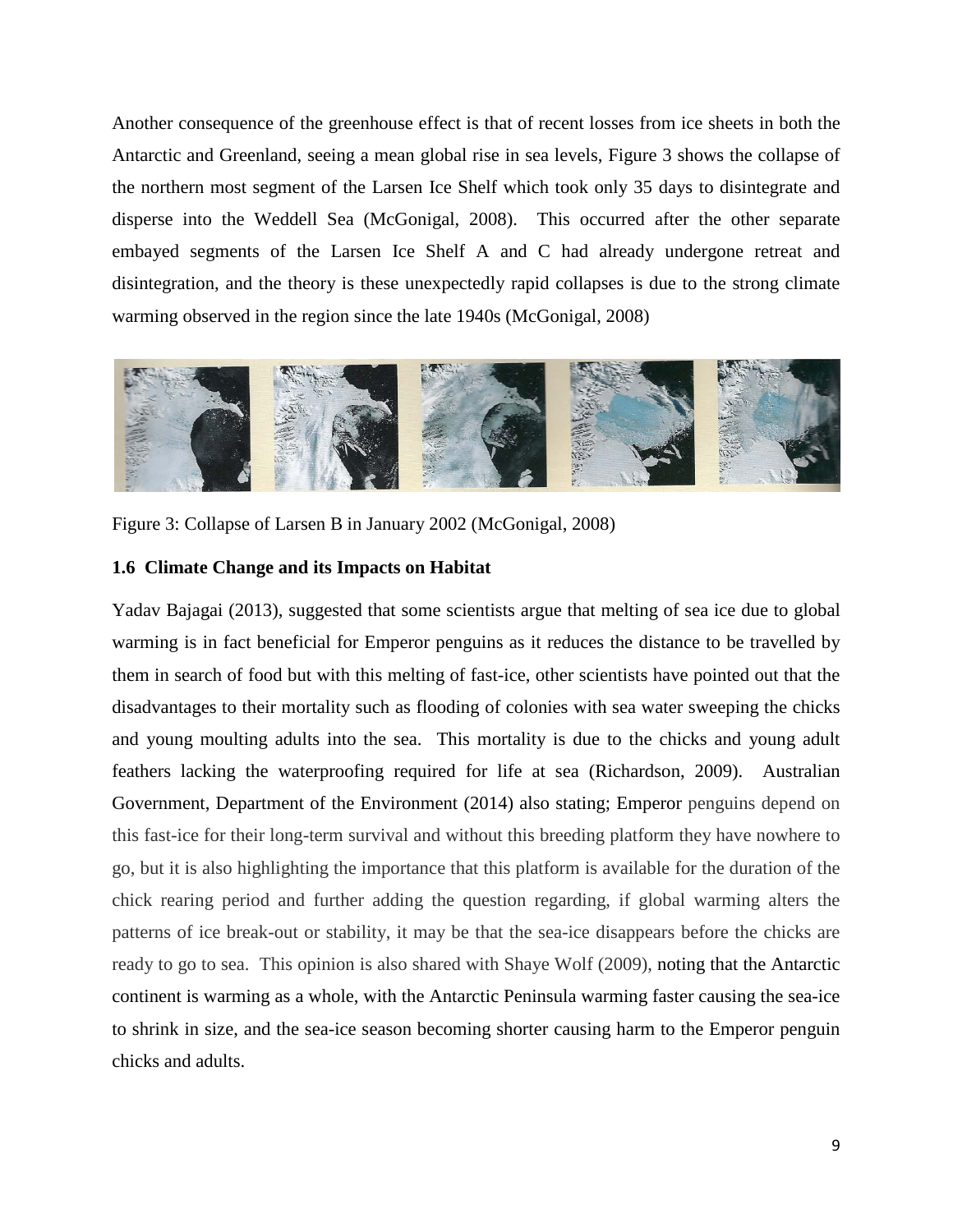Another consequence of the greenhouse effect is that of recent losses from ice sheets in both the Antarctic and Greenland, seeing a mean global rise in sea levels, Figure 3 shows the collapse of the northern most segment of the Larsen Ice Shelf which took only 35 days to disintegrate and disperse into the Weddell Sea (McGonigal, 2008). This occurred after the other separate embayed segments of the Larsen Ice Shelf A and C had already undergone retreat and disintegration, and the theory is these unexpectedly rapid collapses is due to the strong climate warming observed in the region since the late 1940s (McGonigal, 2008)



Figure 3: Collapse of Larsen B in January 2002 (McGonigal, 2008)

#### **1.6 Climate Change and its Impacts on Habitat**

Yadav Bajagai (2013), suggested that some scientists argue that melting of sea ice due to global warming is in fact beneficial for Emperor penguins as it reduces the distance to be travelled by them in search of food but with this melting of fast-ice, other scientists have pointed out that the disadvantages to their mortality such as flooding of colonies with sea water sweeping the chicks and young moulting adults into the sea. This mortality is due to the chicks and young adult feathers lacking the waterproofing required for life at sea (Richardson, 2009). Australian Government, Department of the Environment (2014) also stating; Emperor penguins depend on this fast-ice for their long-term survival and without this breeding platform they have nowhere to go, but it is also highlighting the importance that this platform is available for the duration of the chick rearing period and further adding the question regarding, if global warming alters the patterns of ice break-out or stability, it may be that the sea-ice disappears before the chicks are ready to go to sea. This opinion is also shared with Shaye Wolf (2009), noting that the Antarctic continent is warming as a whole, with the Antarctic Peninsula warming faster causing the sea-ice to shrink in size, and the sea-ice season becoming shorter causing harm to the Emperor penguin chicks and adults.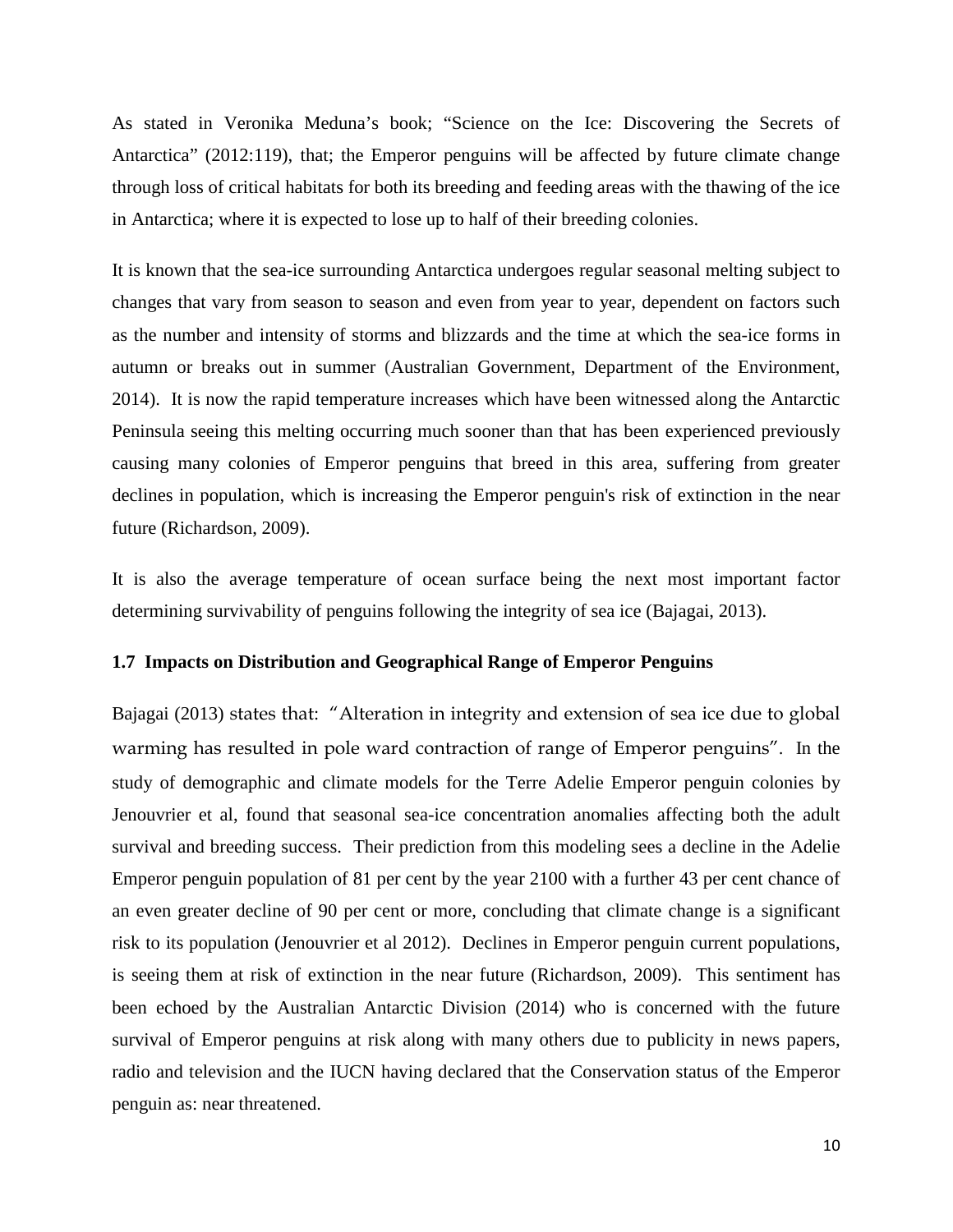As stated in Veronika Meduna's book; "Science on the Ice: Discovering the Secrets of Antarctica" (2012:119), that; the Emperor penguins will be affected by future climate change through loss of critical habitats for both its breeding and feeding areas with the thawing of the ice in Antarctica; where it is expected to lose up to half of their breeding colonies.

It is known that the sea-ice surrounding Antarctica undergoes regular seasonal melting subject to changes that vary from season to season and even from year to year, dependent on factors such as the number and intensity of storms and blizzards and the time at which the sea-ice forms in autumn or breaks out in summer (Australian Government, Department of the Environment, 2014). It is now the rapid temperature increases which have been witnessed along the Antarctic Peninsula seeing this melting occurring much sooner than that has been experienced previously causing many colonies of Emperor penguins that breed in this area, suffering from greater declines in population, which is increasing the Emperor penguin's risk of extinction in the near future (Richardson, 2009).

It is also the average temperature of ocean surface being the next most important factor determining survivability of penguins following the integrity of sea ice (Bajagai, 2013).

#### **1.7 Impacts on Distribution and Geographical Range of Emperor Penguins**

Bajagai (2013) states that: "Alteration in integrity and extension of sea ice due to global warming has resulted in pole ward contraction of range of Emperor penguins". In the study of demographic and climate models for the Terre Adelie Emperor penguin colonies by Jenouvrier et al, found that seasonal sea-ice concentration anomalies affecting both the adult survival and breeding success. Their prediction from this modeling sees a decline in the Adelie Emperor penguin population of 81 per cent by the year 2100 with a further 43 per cent chance of an even greater decline of 90 per cent or more, concluding that climate change is a significant risk to its population (Jenouvrier et al 2012). Declines in Emperor penguin current populations, is seeing them at risk of extinction in the near future (Richardson, 2009). This sentiment has been echoed by the Australian Antarctic Division (2014) who is concerned with the future survival of Emperor penguins at risk along with many others due to publicity in news papers, radio and television and the IUCN having declared that the Conservation status of the Emperor penguin as: near threatened.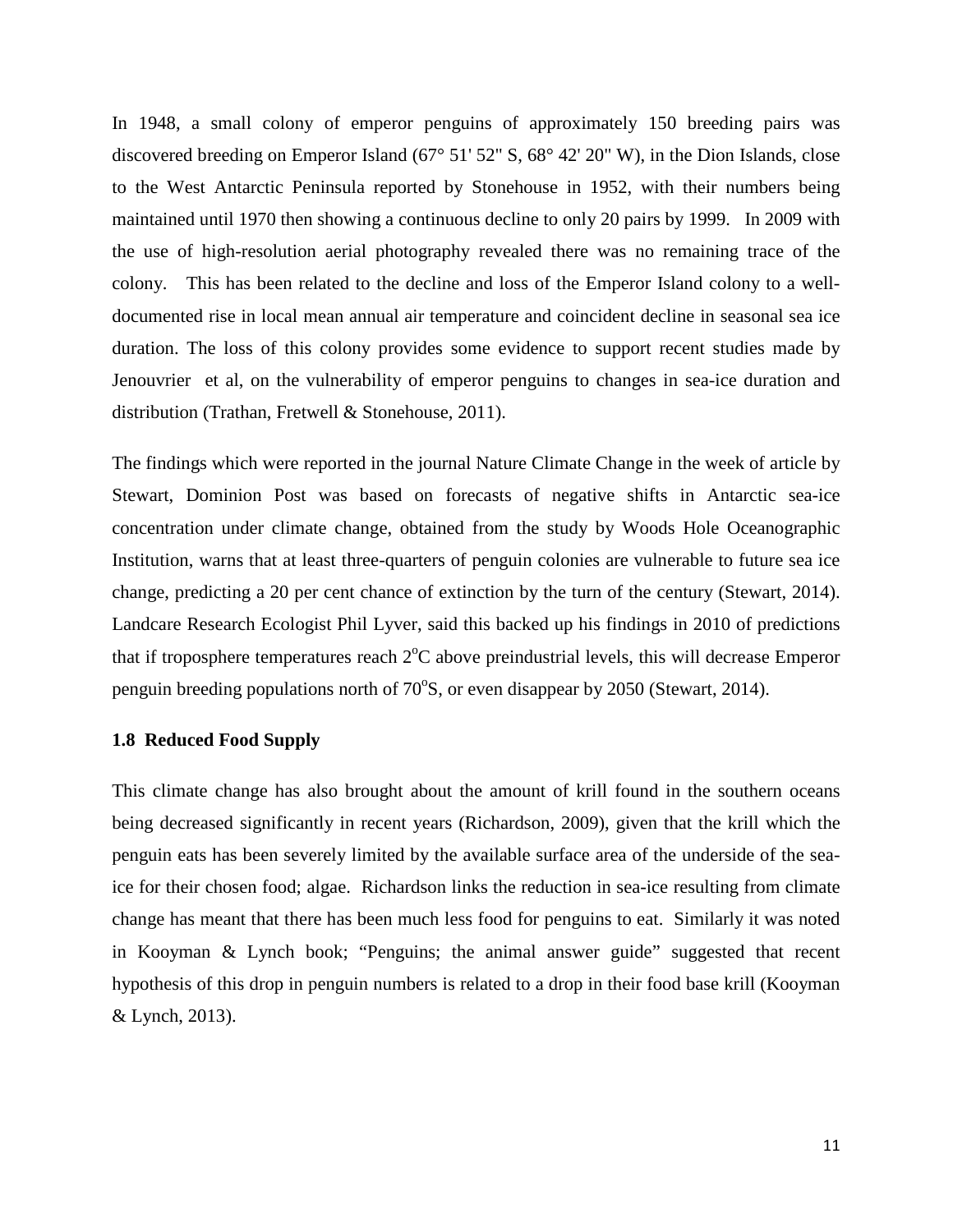In 1948, a small colony of emperor penguins of approximately 150 breeding pairs was discovered breeding on Emperor Island (67° 51' 52" S, 68° 42' 20" W), in the Dion Islands, close to the West Antarctic Peninsula reported by Stonehouse in 1952, with their numbers being maintained until 1970 then showing a continuous decline to only 20 pairs by 1999. In 2009 with the use of high-resolution aerial photography revealed there was no remaining trace of the colony. This has been related to the decline and loss of the Emperor Island colony to a welldocumented rise in local mean annual air temperature and coincident decline in seasonal sea ice duration. The loss of this colony provides some evidence to support recent studies made by Jenouvrier et al, on the vulnerability of emperor penguins to changes in sea-ice duration and distribution (Trathan, Fretwell & Stonehouse, 2011).

The findings which were reported in the journal Nature Climate Change in the week of article by Stewart, Dominion Post was based on forecasts of negative shifts in Antarctic sea-ice concentration under climate change, obtained from the study by Woods Hole Oceanographic Institution, warns that at least three-quarters of penguin colonies are vulnerable to future sea ice change, predicting a 20 per cent chance of extinction by the turn of the century (Stewart, 2014). Landcare Research Ecologist Phil Lyver, said this backed up his findings in 2010 of predictions that if troposphere temperatures reach  $2^{\circ}C$  above preindustrial levels, this will decrease Emperor penguin breeding populations north of 70°S, or even disappear by 2050 (Stewart, 2014).

#### **1.8 Reduced Food Supply**

This climate change has also brought about the amount of krill found in the southern oceans being decreased significantly in recent years (Richardson, 2009), given that the krill which the penguin eats has been severely limited by the available surface area of the underside of the seaice for their chosen food; algae. Richardson links the reduction in sea-ice resulting from climate change has meant that there has been much less food for penguins to eat. Similarly it was noted in Kooyman & Lynch book; "Penguins; the animal answer guide" suggested that recent hypothesis of this drop in penguin numbers is related to a drop in their food base krill (Kooyman & Lynch, 2013).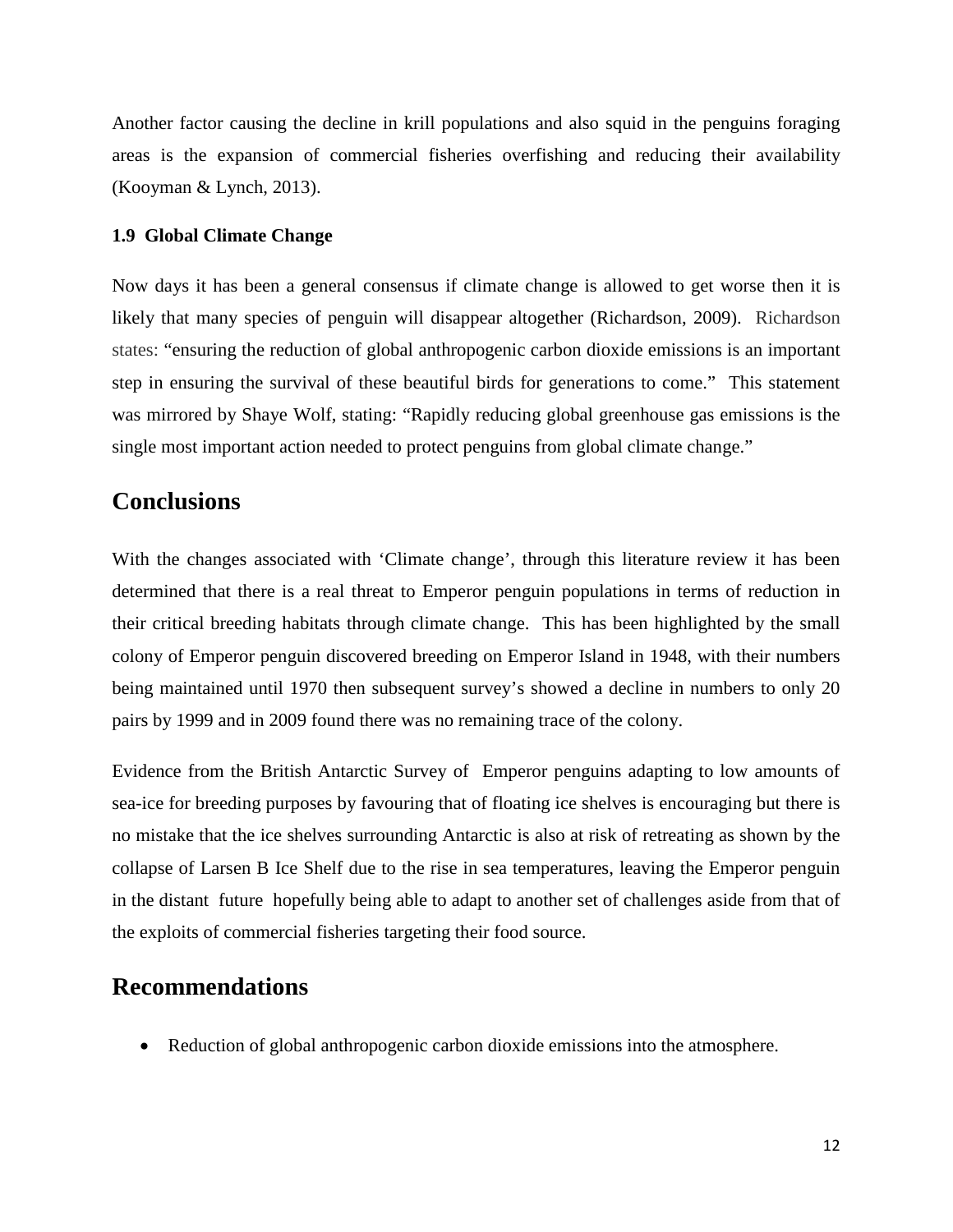Another factor causing the decline in krill populations and also squid in the penguins foraging areas is the expansion of commercial fisheries overfishing and reducing their availability (Kooyman & Lynch, 2013).

#### **1.9 Global Climate Change**

Now days it has been a general consensus if climate change is allowed to get worse then it is likely that many species of penguin will disappear altogether (Richardson, 2009). Richardson states: "ensuring the reduction of global anthropogenic carbon dioxide emissions is an important step in ensuring the survival of these beautiful birds for generations to come." This statement was mirrored by Shaye Wolf, stating: "Rapidly reducing global greenhouse gas emissions is the single most important action needed to protect penguins from global climate change."

### **Conclusions**

With the changes associated with 'Climate change', through this literature review it has been determined that there is a real threat to Emperor penguin populations in terms of reduction in their critical breeding habitats through climate change. This has been highlighted by the small colony of Emperor penguin discovered breeding on Emperor Island in 1948, with their numbers being maintained until 1970 then subsequent survey's showed a decline in numbers to only 20 pairs by 1999 and in 2009 found there was no remaining trace of the colony.

Evidence from the British Antarctic Survey of Emperor penguins adapting to low amounts of sea-ice for breeding purposes by favouring that of floating ice shelves is encouraging but there is no mistake that the ice shelves surrounding Antarctic is also at risk of retreating as shown by the collapse of Larsen B Ice Shelf due to the rise in sea temperatures, leaving the Emperor penguin in the distant future hopefully being able to adapt to another set of challenges aside from that of the exploits of commercial fisheries targeting their food source.

### **Recommendations**

• Reduction of global anthropogenic carbon dioxide emissions into the atmosphere.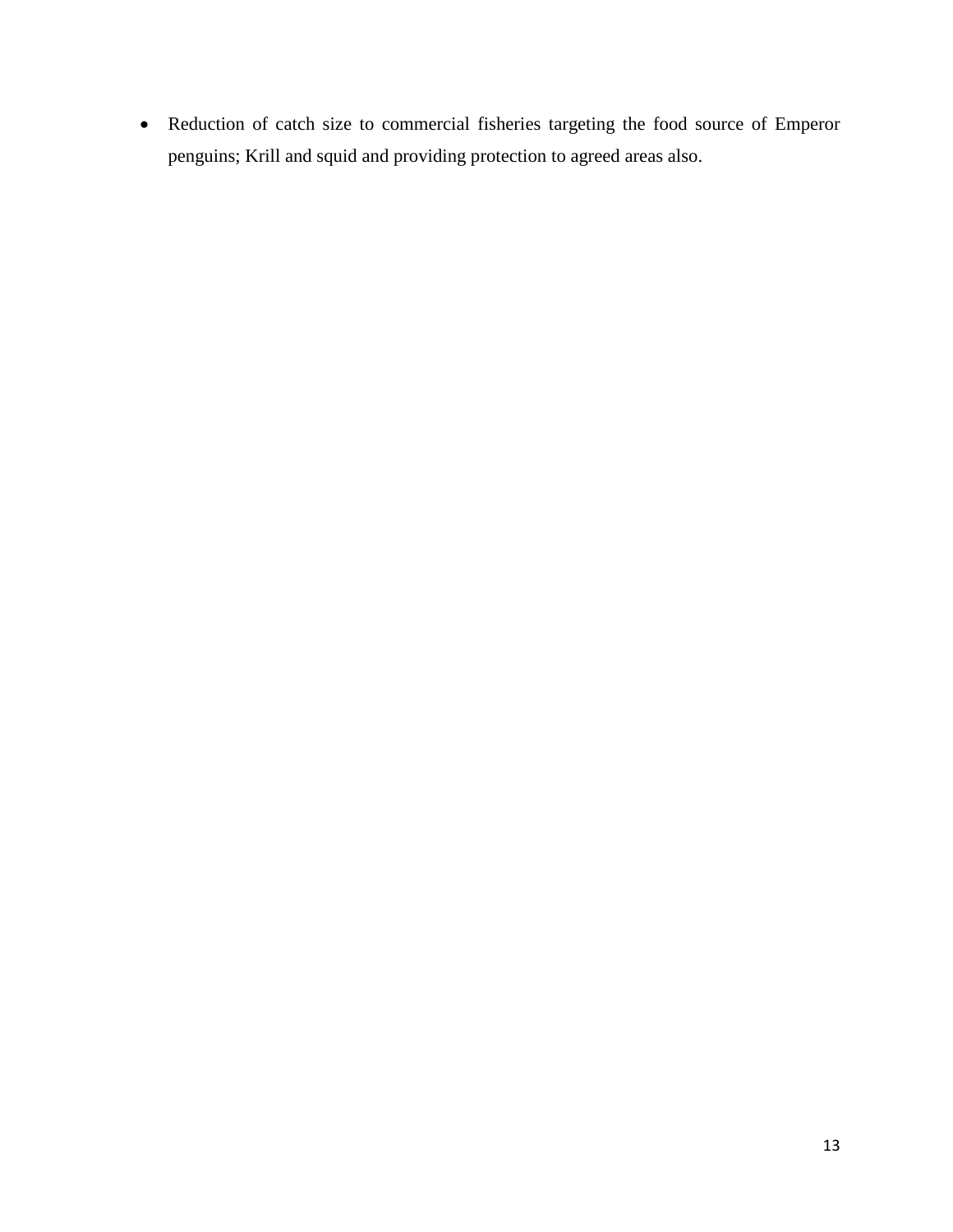• Reduction of catch size to commercial fisheries targeting the food source of Emperor penguins; Krill and squid and providing protection to agreed areas also.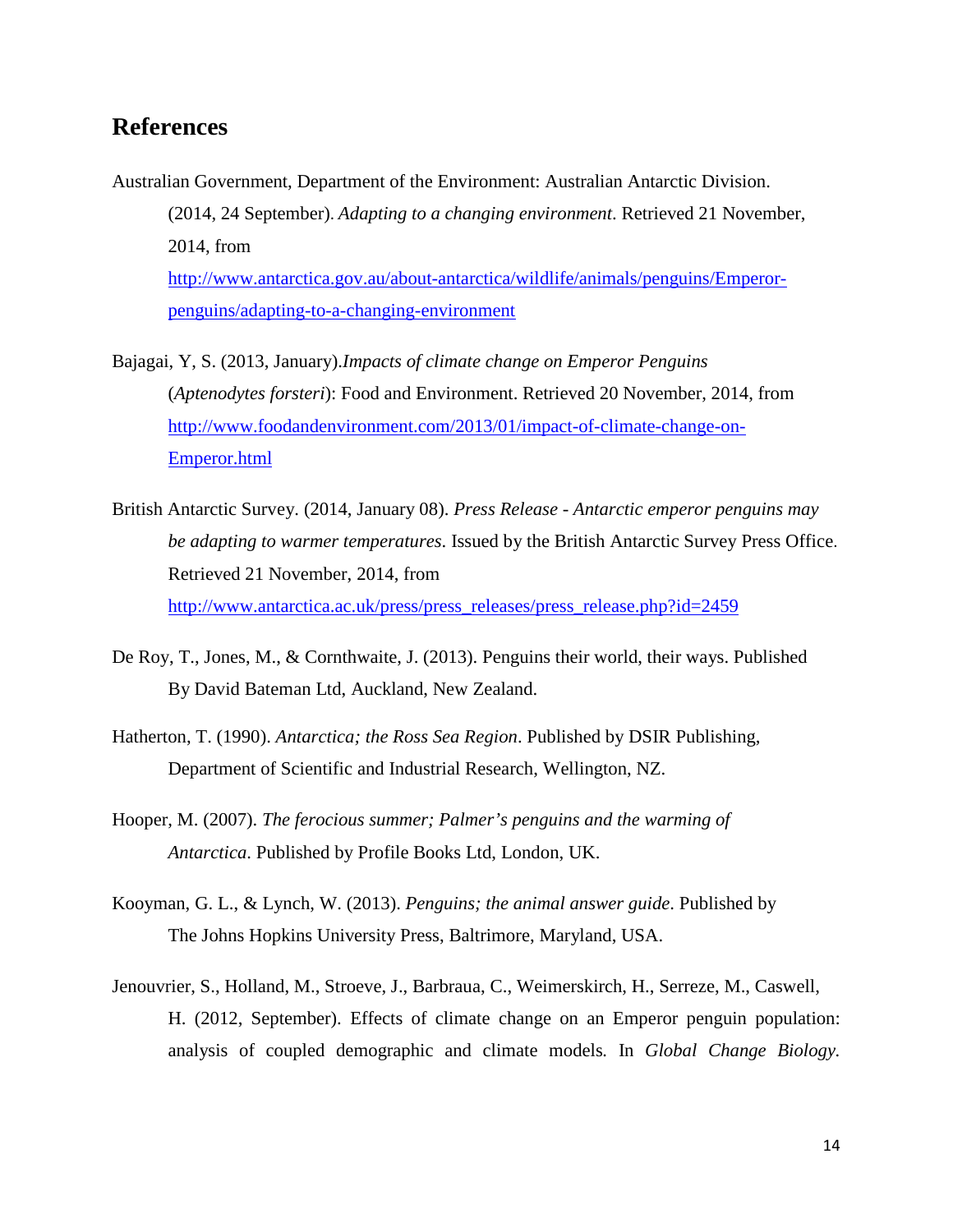## **References**

- Australian Government, Department of the Environment: Australian Antarctic Division. (2014, 24 September). *Adapting to a changing environment*. Retrieved 21 November, 2014, from [http://www.antarctica.gov.au/about-antarctica/wildlife/animals/penguins/Emperor](http://www.antarctica.gov.au/about-antarctica/wildlife/animals/penguins/Emperor-penguins/adapting-to-a-changing-environment)[penguins/adapting-to-a-changing-environment](http://www.antarctica.gov.au/about-antarctica/wildlife/animals/penguins/Emperor-penguins/adapting-to-a-changing-environment)
- Bajagai, Y, S. (2013, January).*Impacts of climate change on Emperor Penguins* (*Aptenodytes forsteri*): Food and Environment. Retrieved 20 November, 2014, from [http://www.foodandenvironment.com/2013/01/impact-of-climate-change-on-](http://www.foodandenvironment.com/2013/01/impact-of-climate-change-on-emperor.html)[Emperor.html](http://www.foodandenvironment.com/2013/01/impact-of-climate-change-on-emperor.html)
- British Antarctic Survey. (2014, January 08). *Press Release - Antarctic emperor penguins may be adapting to warmer temperatures*. Issued by the British Antarctic Survey Press Office. Retrieved 21 November, 2014, from [http://www.antarctica.ac.uk/press/press\\_releases/press\\_release.php?id=2459](http://www.antarctica.ac.uk/press/press_releases/press_release.php?id=2459)
- De Roy, T., Jones, M., & Cornthwaite, J. (2013). Penguins their world, their ways. Published By David Bateman Ltd, Auckland, New Zealand.
- Hatherton, T. (1990). *Antarctica; the Ross Sea Region*. Published by DSIR Publishing, Department of Scientific and Industrial Research, Wellington, NZ.
- Hooper, M. (2007). *The ferocious summer; Palmer's penguins and the warming of Antarctica*. Published by Profile Books Ltd, London, UK.
- Kooyman, G. L., & Lynch, W. (2013). *Penguins; the animal answer guide*. Published by The Johns Hopkins University Press, Baltrimore, Maryland, USA.
- Jenouvrier, S., Holland, M., Stroeve, J., Barbraua, C., Weimerskirch, H., Serreze, M., Caswell, H. (2012, September). Effects of climate change on an Emperor penguin population: analysis of coupled demographic and climate models*.* In *Global Change Biology.*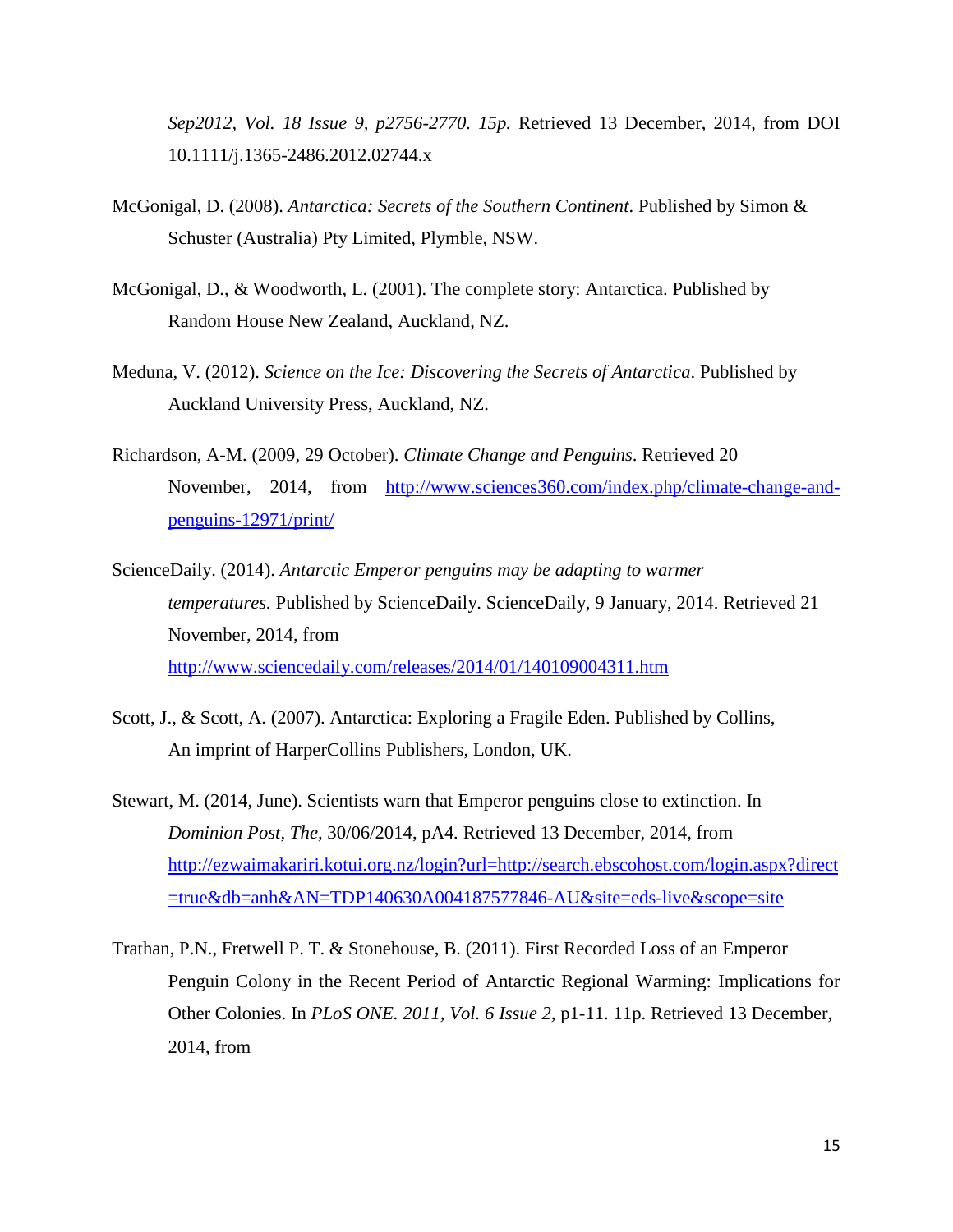*Sep2012, Vol. 18 Issue 9, p2756-2770. 15p.* Retrieved 13 December, 2014, from DOI 10.1111/j.1365-2486.2012.02744.x

- McGonigal, D. (2008). *Antarctica: Secrets of the Southern Continent*. Published by Simon & Schuster (Australia) Pty Limited, Plymble, NSW.
- McGonigal, D., & Woodworth, L. (2001). The complete story: Antarctica. Published by Random House New Zealand, Auckland, NZ.
- Meduna, V. (2012). *Science on the Ice: Discovering the Secrets of Antarctica*. Published by Auckland University Press, Auckland, NZ.
- Richardson, A-M. (2009, 29 October). *Climate Change and Penguins*. Retrieved 20 November, 2014, from [http://www.sciences360.com/index.php/climate-change-and](http://www.sciences360.com/index.php/climate-change-and-penguins-12971/print/)[penguins-12971/print/](http://www.sciences360.com/index.php/climate-change-and-penguins-12971/print/)
- ScienceDaily. (2014). *Antarctic Emperor penguins may be adapting to warmer temperatures.* Published by ScienceDaily. ScienceDaily, 9 January, 2014. Retrieved 21 November, 2014, from <http://www.sciencedaily.com/releases/2014/01/140109004311.htm>
- Scott, J., & Scott, A. (2007). Antarctica: Exploring a Fragile Eden. Published by Collins, An imprint of HarperCollins Publishers, London, UK.
- Stewart, M. (2014, June). Scientists warn that Emperor penguins close to extinction. In *Dominion Post, The,* 30/06/2014, pA4*.* Retrieved 13 December, 2014, from [http://ezwaimakariri.kotui.org.nz/login?url=http://search.ebscohost.com/login.aspx?direct](http://ezwaimakariri.kotui.org.nz/login?url=http://search.ebscohost.com/login.aspx?direct=true&db=anh&AN=TDP140630A004187577846-AU&site=eds-live&scope=site) [=true&db=anh&AN=TDP140630A004187577846-AU&site=eds-live&scope=site](http://ezwaimakariri.kotui.org.nz/login?url=http://search.ebscohost.com/login.aspx?direct=true&db=anh&AN=TDP140630A004187577846-AU&site=eds-live&scope=site)
- Trathan, P.N., Fretwell P. T. & Stonehouse, B. (2011). First Recorded Loss of an Emperor Penguin Colony in the Recent Period of Antarctic Regional Warming: Implications for Other Colonies. In *PLoS ONE. 2011, Vol. 6 Issue 2,* p1-11. 11p. Retrieved 13 December, 2014, from